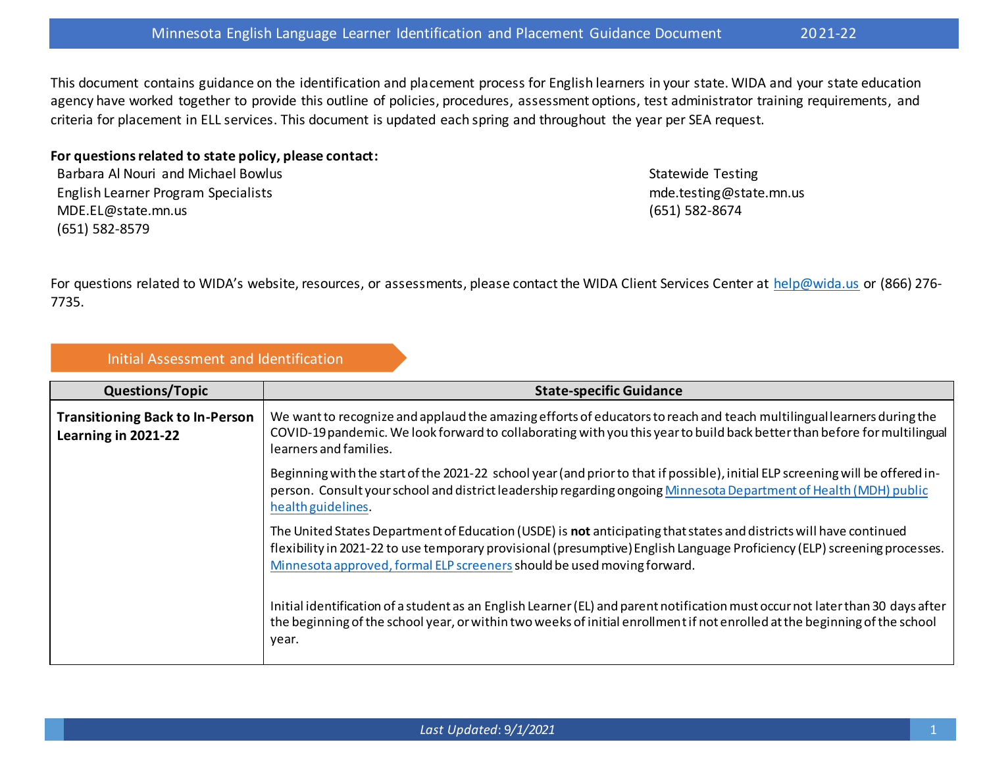This document contains guidance on the identification and placement process for English learners in your state. WIDA and your state education agency have worked together to provide this outline of policies, procedures, assessment options, test administrator training requirements, and criteria for placement in ELL services. This document is updated each spring and throughout the year per SEA request.

## **For questions related to state policy, please contact:**

Barbara Al Nouri and Michael Bowlus English Learner Program Specialists MDE.EL@state.mn.us (651) 582-8579

Statewide Testing mde.testing@state.mn.us (651) 582-8674

For questions related to WIDA's website, resources, or assessments, please contact the WIDA Client Services Center at [help@wida.us](mailto:help@wida.us) or (866) 276-7735.

## Initial Assessment and Identification

| <b>Questions/Topic</b>                                        | <b>State-specific Guidance</b>                                                                                                                                                                                                                                                                                                    |
|---------------------------------------------------------------|-----------------------------------------------------------------------------------------------------------------------------------------------------------------------------------------------------------------------------------------------------------------------------------------------------------------------------------|
| <b>Transitioning Back to In-Person</b><br>Learning in 2021-22 | We want to recognize and applaud the amazing efforts of educators to reach and teach multilingual learners during the<br>COVID-19 pandemic. We look forward to collaborating with you this year to build back better than before for multilingual<br>learners and families.                                                       |
|                                                               | Beginning with the start of the 2021-22 school year (and prior to that if possible), initial ELP screening will be offered in-<br>person. Consult your school and district leadership regarding ongoing Minnesota Department of Health (MDH) public<br>health guidelines.                                                         |
|                                                               | The United States Department of Education (USDE) is <b>not</b> anticipating that states and districts will have continued<br>flexibility in 2021-22 to use temporary provisional (presumptive) English Language Proficiency (ELP) screening processes.<br>Minnesota approved, formal ELP screeners should be used moving forward. |
|                                                               | Initial identification of a student as an English Learner (EL) and parent notification must occur not later than 30 days after<br>the beginning of the school year, or within two weeks of initial enrollment if not enrolled at the beginning of the school<br>year.                                                             |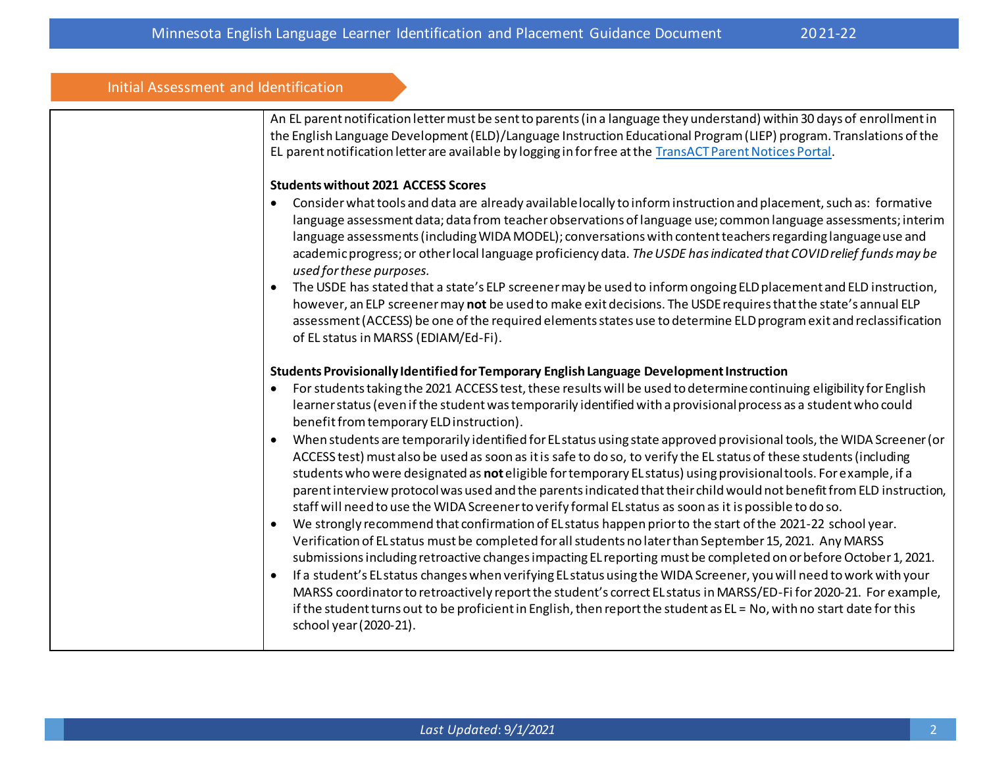## Initial Assessment and Identification

An EL parent notification letter must be sent to parents (in a language they understand) within 30 days of enrollment in the English Language Development (ELD)/Language Instruction Educational Program (LIEP) program. Translations of the EL parent notification letter are available by logging in for free at th[e TransACT Parent Notices Portal](https://minnesota-doe.parentnotices.com/login).

#### **Students without 2021 ACCESS Scores**

- Consider what tools and data are already available locally to inform instruction and placement, such as: formative language assessment data; data from teacher observations of language use; common language assessments; interim language assessments (including WIDA MODEL); conversations with content teachers regarding language use and academic progress; or other local language proficiency data. *The USDE has indicated that COVID relief funds may be used for these purposes.*
- The USDE has stated that a state's ELP screener may be used to inform ongoing ELD placement and ELD instruction, however, an ELP screener may **not** be used to make exit decisions. The USDE requires that the state's annual ELP assessment (ACCESS) be one of the required elements states use to determine ELD program exit and reclassification of EL status in MARSS (EDIAM/Ed-Fi).

## **Students Provisionally Identified for Temporary English Language Development Instruction**

- For students taking the 2021 ACCESS test, these results will be used to determine continuing eligibility for English learner status (even if the student was temporarily identified with a provisional process as a student who could benefit from temporary ELD instruction).
- When students are temporarily identified for EL status using state approved provisional tools, the WIDA Screener (or ACCESS test) must also be used as soon as it is safe to do so, to verify the EL status of these students (including students who were designated as **not**eligible for temporary EL status) using provisional tools. For example, if a parent interview protocol was used and the parents indicated that their child would not benefit from ELD instruction, staff will need to use the WIDA Screener to verify formal EL status as soon as it is possible to do so.
- We strongly recommend that confirmation of EL status happen prior to the start of the 2021-22 school year. Verification of EL status must be completed for all students no later than September 15, 2021. Any MARSS submissions including retroactive changes impacting EL reporting must be completed on or before October 1, 2021.
- If a student's EL status changes when verifying EL status using the WIDA Screener, you will need to work with your MARSS coordinator to retroactively report the student's correct EL status in MARSS/ED-Fi for 2020-21. For example, if the student turns out to be proficient in English, then report the student as EL = No, with no start date for this school year (2020-21).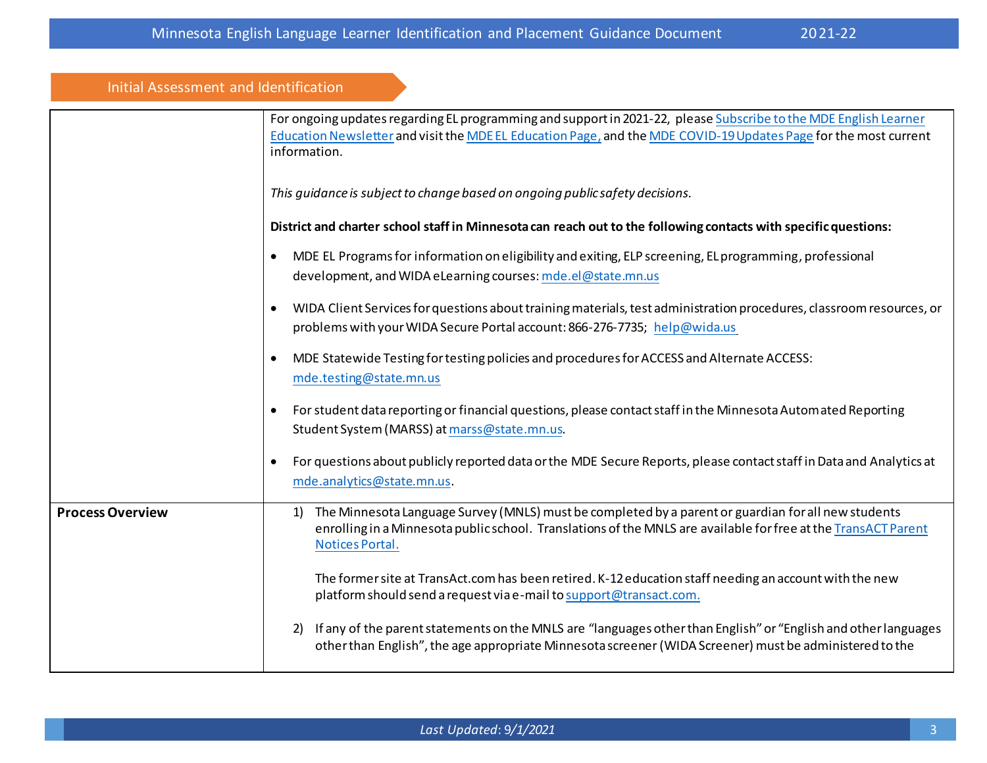| Initial Assessment and Identification |                                                                                                                                                                                                                                                      |
|---------------------------------------|------------------------------------------------------------------------------------------------------------------------------------------------------------------------------------------------------------------------------------------------------|
|                                       | For ongoing updates regarding EL programming and support in 2021-22, please Subscribe to the MDE English Learner<br>Education Newsletter and visit the MDE EL Education Page, and the MDE COVID-19 Updates Page for the most current<br>information. |
|                                       | This guidance is subject to change based on ongoing public safety decisions.                                                                                                                                                                         |
|                                       | District and charter school staff in Minnesota can reach out to the following contacts with specific questions:                                                                                                                                      |
|                                       | MDE EL Programs for information on eligibility and exiting, ELP screening, EL programming, professional<br>$\bullet$<br>development, and WIDA eLearning courses: mde.el@state.mn.us                                                                  |
|                                       | WIDA Client Services for questions about training materials, test administration procedures, classroom resources, or<br>$\bullet$<br>problems with your WIDA Secure Portal account: 866-276-7735; help@wida.us                                       |
|                                       | MDE Statewide Testing for testing policies and procedures for ACCESS and Alternate ACCESS:<br>$\bullet$<br>mde.testing@state.mn.us                                                                                                                   |
|                                       | For student data reporting or financial questions, please contact staff in the Minnesota Autom ated Reporting<br>Student System (MARSS) at marss@state.mn.us.                                                                                        |
|                                       | For questions about publicly reported data or the MDE Secure Reports, please contact staff in Data and Analytics at<br>$\bullet$<br>mde.analytics@state.mn.us.                                                                                       |
| <b>Process Overview</b>               | The Minnesota Language Survey (MNLS) must be completed by a parent or guardian for all new students<br>1)<br>enrolling in a Minnesota public school. Translations of the MNLS are available for free at the TransACT Parent<br>Notices Portal.       |
|                                       | The former site at TransAct.com has been retired. K-12 education staff needing an account with the new<br>platform should send a request via e-mail to support@transact.com.                                                                         |
|                                       | If any of the parent statements on the MNLS are "languages other than English" or "English and other languages<br>2)<br>other than English", the age appropriate Minnesota screener (WIDA Screener) must be administered to the                      |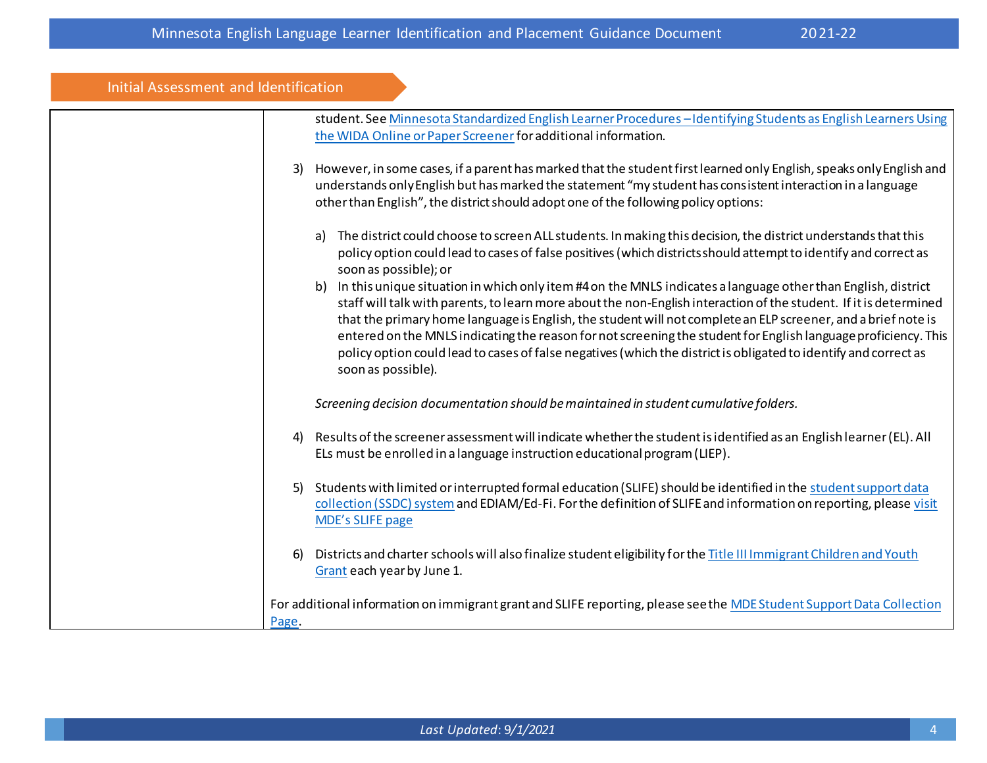| Initial Assessment and Identification |                                                                                                                                                                                                                                                                                                                                                                                                                                                                                                                                                                                                                   |
|---------------------------------------|-------------------------------------------------------------------------------------------------------------------------------------------------------------------------------------------------------------------------------------------------------------------------------------------------------------------------------------------------------------------------------------------------------------------------------------------------------------------------------------------------------------------------------------------------------------------------------------------------------------------|
|                                       | student. See Minnesota Standardized English Learner Procedures - Identifying Students as English Learners Using<br>the WIDA Online or Paper Screener for additional information.                                                                                                                                                                                                                                                                                                                                                                                                                                  |
| 3)                                    | However, in some cases, if a parent has marked that the student first learned only English, speaks only English and<br>understands only English but has marked the statement "my student has consistent interaction in a language<br>other than English", the district should adopt one of the following policy options:                                                                                                                                                                                                                                                                                          |
|                                       | The district could choose to screen ALL students. In making this decision, the district understands that this<br>a)<br>policy option could lead to cases of false positives (which districts should attempt to identify and correct as<br>soon as possible); or                                                                                                                                                                                                                                                                                                                                                   |
|                                       | b) In this unique situation in which only item #4 on the MNLS indicates a language other than English, district<br>staff will talk with parents, to learn more about the non-English interaction of the student. If it is determined<br>that the primary home language is English, the student will not complete an ELP screener, and a brief note is<br>entered on the MNLS indicating the reason for not screening the student for English language proficiency. This<br>policy option could lead to cases of false negatives (which the district is obligated to identify and correct as<br>soon as possible). |
|                                       | Screening decision documentation should be maintained in student cumulative folders.                                                                                                                                                                                                                                                                                                                                                                                                                                                                                                                              |
| 4)                                    | Results of the screener assessment will indicate whether the student is identified as an English learner (EL). All<br>ELs must be enrolled in a language instruction educational program (LIEP).                                                                                                                                                                                                                                                                                                                                                                                                                  |
| 5)                                    | Students with limited or interrupted formal education (SLIFE) should be identified in the student support data<br>collection (SSDC) system and EDIAM/Ed-Fi. For the definition of SLIFE and information on reporting, please visit<br><b>MDE's SLIFE page</b>                                                                                                                                                                                                                                                                                                                                                     |
| <sup>6</sup>                          | Districts and charter schools will also finalize student eligibility for the Title III Immigrant Children and Youth<br>Grant each year by June 1.                                                                                                                                                                                                                                                                                                                                                                                                                                                                 |
| Page.                                 | For additional information on immigrant grant and SLIFE reporting, please see the MDE Student Support Data Collection                                                                                                                                                                                                                                                                                                                                                                                                                                                                                             |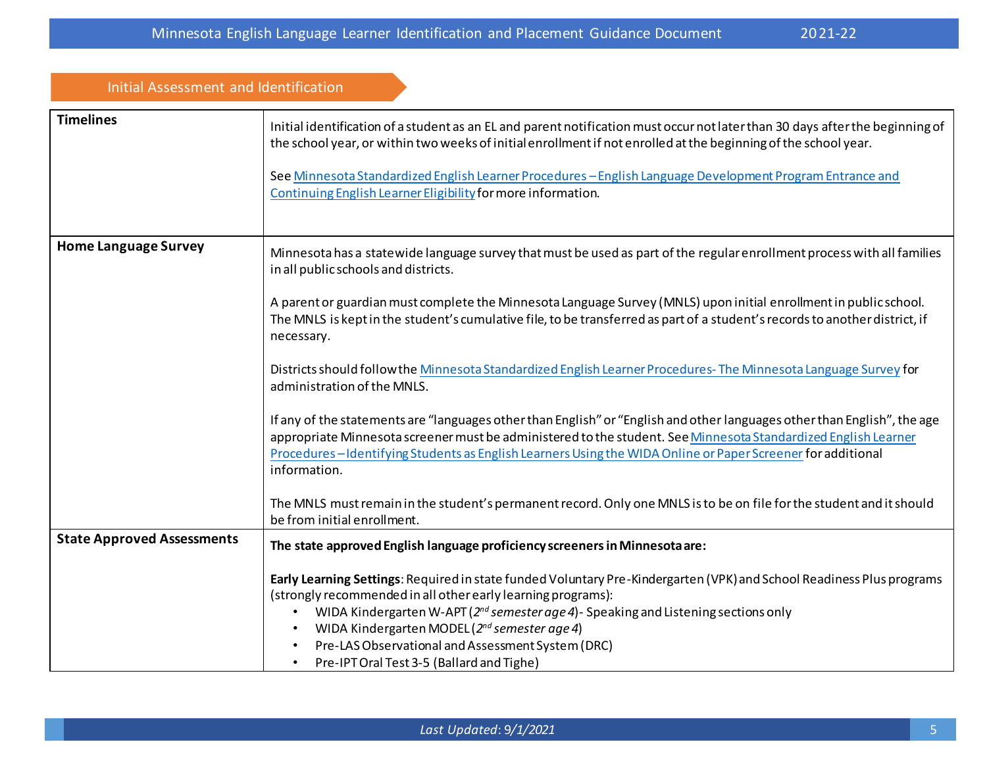| <b>Initial Assessment and Identification</b> |                                                                                                                                                                                                                                                                                                                                                                                                                                                                                   |
|----------------------------------------------|-----------------------------------------------------------------------------------------------------------------------------------------------------------------------------------------------------------------------------------------------------------------------------------------------------------------------------------------------------------------------------------------------------------------------------------------------------------------------------------|
| <b>Timelines</b>                             | Initial identification of a student as an EL and parent notification must occurnot later than 30 days after the beginning of<br>the school year, or within two weeks of initial enrollment if not enrolled at the beginning of the school year.                                                                                                                                                                                                                                   |
|                                              | See Minnesota Standardized English Learner Procedures - English Language Development Program Entrance and<br>Continuing English Learner Eligibility for more information.                                                                                                                                                                                                                                                                                                         |
| <b>Home Language Survey</b>                  | Minnesota has a statewide language survey that must be used as part of the regular enrollment process with all families<br>in all public schools and districts.                                                                                                                                                                                                                                                                                                                   |
|                                              | A parent or guardian must complete the Minnesota Language Survey (MNLS) upon initial enrollment in public school.<br>The MNLS is kept in the student's cumulative file, to be transferred as part of a student's records to another district, if<br>necessary.                                                                                                                                                                                                                    |
|                                              | Districts should follow the Minnesota Standardized English Learner Procedures-The Minnesota Language Survey for<br>administration of the MNLS.                                                                                                                                                                                                                                                                                                                                    |
|                                              | If any of the statements are "languages other than English" or "English and other languages other than English", the age<br>appropriate Minnesota screener must be administered to the student. See Minnesota Standardized English Learner<br>Procedures-Identifying Students as English Learners Using the WIDA Online or Paper Screener for additional<br>information.                                                                                                          |
|                                              | The MNLS must remain in the student's permanent record. Only one MNLS is to be on file for the student and it should<br>be from initial enrollment.                                                                                                                                                                                                                                                                                                                               |
| <b>State Approved Assessments</b>            | The state approved English language proficiency screeners in Minnesota are:                                                                                                                                                                                                                                                                                                                                                                                                       |
|                                              | Early Learning Settings: Required in state funded Voluntary Pre-Kindergarten (VPK) and School Readiness Plus programs<br>(strongly recommended in all other early learning programs):<br>WIDA Kindergarten W-APT (2 <sup>nd</sup> semester age 4) - Speaking and Listening sections only<br>WIDA Kindergarten MODEL (2nd semester age 4)<br>$\bullet$<br>Pre-LAS Observational and Assessment System (DRC)<br>$\bullet$<br>Pre-IPT Oral Test 3-5 (Ballard and Tighe)<br>$\bullet$ |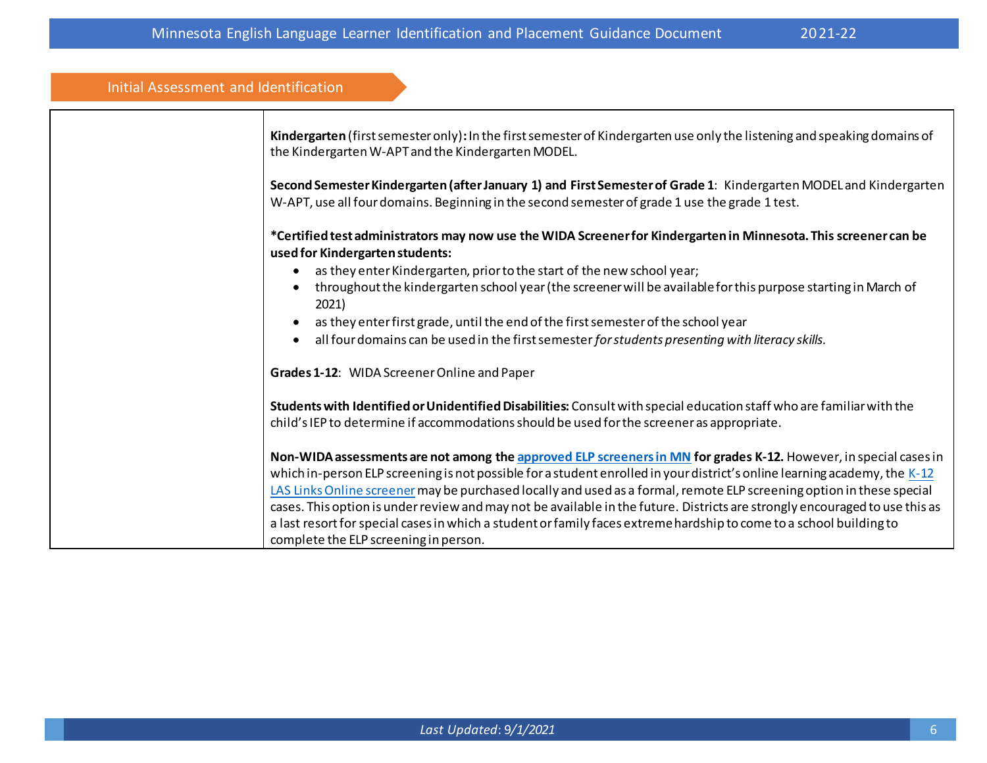| Initial Assessment and Identification                                                                                                                                                                               |
|---------------------------------------------------------------------------------------------------------------------------------------------------------------------------------------------------------------------|
| Kindergarten (first semester only): In the first semester of Kindergarten use only the listening and speaking domains of<br>the Kindergarten W-APT and the Kindergarten MODEL.                                      |
| Second Semester Kindergarten (after January 1) and First Semester of Grade 1: Kindergarten MODEL and Kindergarten<br>W-APT, use all four domains. Beginning in the second semester of grade 1 use the grade 1 test. |
| *Certified test administrators may now use the WIDA Screener for Kindergarten in Minnesota. This screener can be<br>used for Kindergarten students:                                                                 |
| as they enter Kindergarten, prior to the start of the new school year;                                                                                                                                              |
| throughout the kindergarten school year (the screener will be available for this purpose starting in March of<br>2021)                                                                                              |
| as they enter first grade, until the end of the first semester of the school year                                                                                                                                   |
| all four domains can be used in the first semester for students presenting with literacy skills.                                                                                                                    |
| Grades 1-12: WIDA Screener Online and Paper                                                                                                                                                                         |
| Students with Identified or Unidentified Disabilities: Consult with special education staff who are familiar with the                                                                                               |
| child's IEP to determine if accommodations should be used for the screener as appropriate.                                                                                                                          |
| Non-WIDA assessments are not among the approved ELP screeners in MN for grades K-12. However, in special cases in                                                                                                   |
| which in-person ELP screening is not possible for a student enrolled in your district's online learning academy, the K-12                                                                                           |
| LAS Links Online screener may be purchased locally and used as a formal, remote ELP screening option in these special                                                                                               |
| cases. This option is under review and may not be available in the future. Districts are strongly encouraged to use this as                                                                                         |
| a last resort for special cases in which a student or family faces extreme hardship to come to a school building to                                                                                                 |
| complete the ELP screening in person.                                                                                                                                                                               |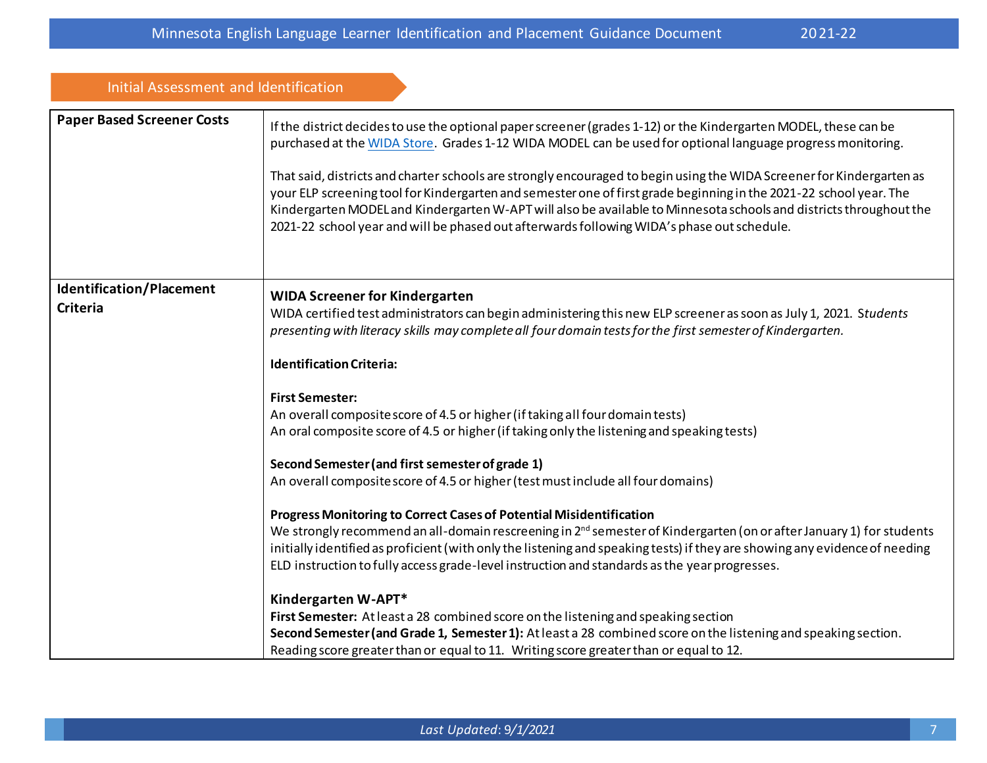| Initial Assessment and Identification       |                                                                                                                                                                                                                                                                                                                                                                                                                                                                                                                                                                                                                                                                                                                                                                                                                                                                                                                                                                                                                                                                                                                                                                                                                                                                                                                                                                                                                                 |
|---------------------------------------------|---------------------------------------------------------------------------------------------------------------------------------------------------------------------------------------------------------------------------------------------------------------------------------------------------------------------------------------------------------------------------------------------------------------------------------------------------------------------------------------------------------------------------------------------------------------------------------------------------------------------------------------------------------------------------------------------------------------------------------------------------------------------------------------------------------------------------------------------------------------------------------------------------------------------------------------------------------------------------------------------------------------------------------------------------------------------------------------------------------------------------------------------------------------------------------------------------------------------------------------------------------------------------------------------------------------------------------------------------------------------------------------------------------------------------------|
| <b>Paper Based Screener Costs</b>           | If the district decides to use the optional paper screener (grades 1-12) or the Kindergarten MODEL, these can be<br>purchased at the WIDA Store. Grades 1-12 WIDA MODEL can be used for optional language progress monitoring.<br>That said, districts and charter schools are strongly encouraged to begin using the WIDA Screener for Kindergarten as<br>your ELP screening tool for Kindergarten and semester one of first grade beginning in the 2021-22 school year. The<br>Kindergarten MODEL and Kindergarten W-APT will also be available to Minnesota schools and districts throughout the<br>2021-22 school year and will be phased out afterwards following WIDA's phase out schedule.                                                                                                                                                                                                                                                                                                                                                                                                                                                                                                                                                                                                                                                                                                                               |
| Identification/Placement<br><b>Criteria</b> | <b>WIDA Screener for Kindergarten</b><br>WIDA certified test administrators can begin administering this new ELP screener as soon as July 1, 2021. Students<br>presenting with literacy skills may complete all four domain tests for the first semester of Kindergarten.<br><b>Identification Criteria:</b><br><b>First Semester:</b><br>An overall composite score of 4.5 or higher (if taking all four domain tests)<br>An oral composite score of 4.5 or higher (if taking only the listening and speaking tests)<br>Second Semester (and first semester of grade 1)<br>An overall composite score of 4.5 or higher (test must include all four domains)<br>Progress Monitoring to Correct Cases of Potential Misidentification<br>We strongly recommend an all-domain rescreening in 2 <sup>nd</sup> semester of Kindergarten (on or after January 1) for students<br>initially identified as proficient (with only the listening and speaking tests) if they are showing any evidence of needing<br>ELD instruction to fully access grade-level instruction and standards as the year progresses.<br>Kindergarten W-APT*<br>First Semester: At least a 28 combined score on the listening and speaking section<br>Second Semester (and Grade 1, Semester 1): At least a 28 combined score on the listening and speaking section.<br>Reading score greater than or equal to 11. Writing score greater than or equal to 12. |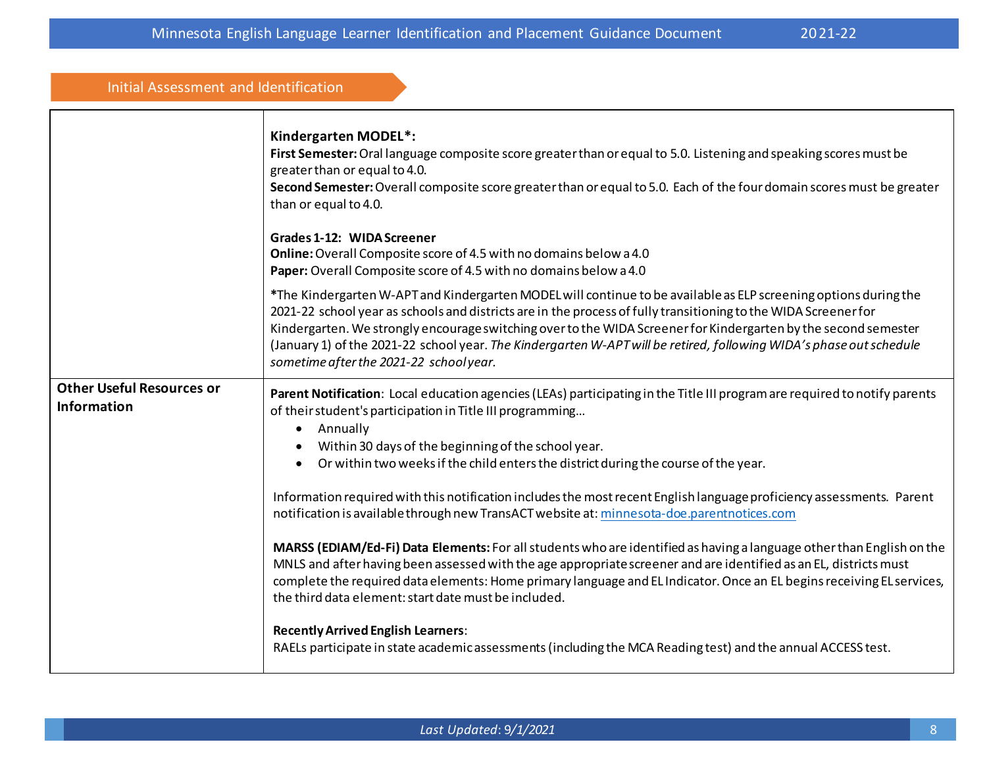| Initial Assessment and Identification                  |                                                                                                                                                                                                                                                                                                                                                                                                                                                                                                                           |
|--------------------------------------------------------|---------------------------------------------------------------------------------------------------------------------------------------------------------------------------------------------------------------------------------------------------------------------------------------------------------------------------------------------------------------------------------------------------------------------------------------------------------------------------------------------------------------------------|
| <b>Other Useful Resources or</b><br><b>Information</b> | Kindergarten MODEL*:<br>First Semester: Oral language composite score greater than or equal to 5.0. Listening and speaking scores must be<br>greater than or equal to 4.0.<br>Second Semester: Overall composite score greater than or equal to 5.0. Each of the four domain scores must be greater<br>than or equal to 4.0.                                                                                                                                                                                              |
|                                                        | Grades 1-12: WIDA Screener<br>Online: Overall Composite score of 4.5 with no domains below a 4.0<br>Paper: Overall Composite score of 4.5 with no domains below a 4.0                                                                                                                                                                                                                                                                                                                                                     |
|                                                        | *The Kindergarten W-APT and Kindergarten MODEL will continue to be available as ELP screening options during the<br>2021-22 school year as schools and districts are in the process of fully transitioning to the WIDA Screener for<br>Kindergarten. We strongly encourage switching over to the WIDA Screener for Kindergarten by the second semester<br>(January 1) of the 2021-22 school year. The Kindergarten W-APT will be retired, following WIDA's phase out schedule<br>sometime after the 2021-22 schoolyear.   |
|                                                        | Parent Notification: Local education agencies (LEAs) participating in the Title III program are required to notify parents<br>of their student's participation in Title III programming<br>Annually<br>$\bullet$<br>Within 30 days of the beginning of the school year.<br>Or within two weeks if the child enters the district during the course of the year.<br>$\bullet$<br>Information required with this notification includes the most recent English language proficiency assessments. Parent                      |
|                                                        | notification is available through new TransACT website at: minnesota-doe.parentnotices.com<br>MARSS (EDIAM/Ed-Fi) Data Elements: For all students who are identified as having a language other than English on the<br>MNLS and after having been assessed with the age appropriate screener and are identified as an EL, districts must<br>complete the required data elements: Home primary language and EL Indicator. Once an EL begins receiving EL services,<br>the third data element: start date must be included. |
|                                                        | <b>Recently Arrived English Learners:</b><br>RAELs participate in state academic assessments (including the MCA Reading test) and the annual ACCESS test.                                                                                                                                                                                                                                                                                                                                                                 |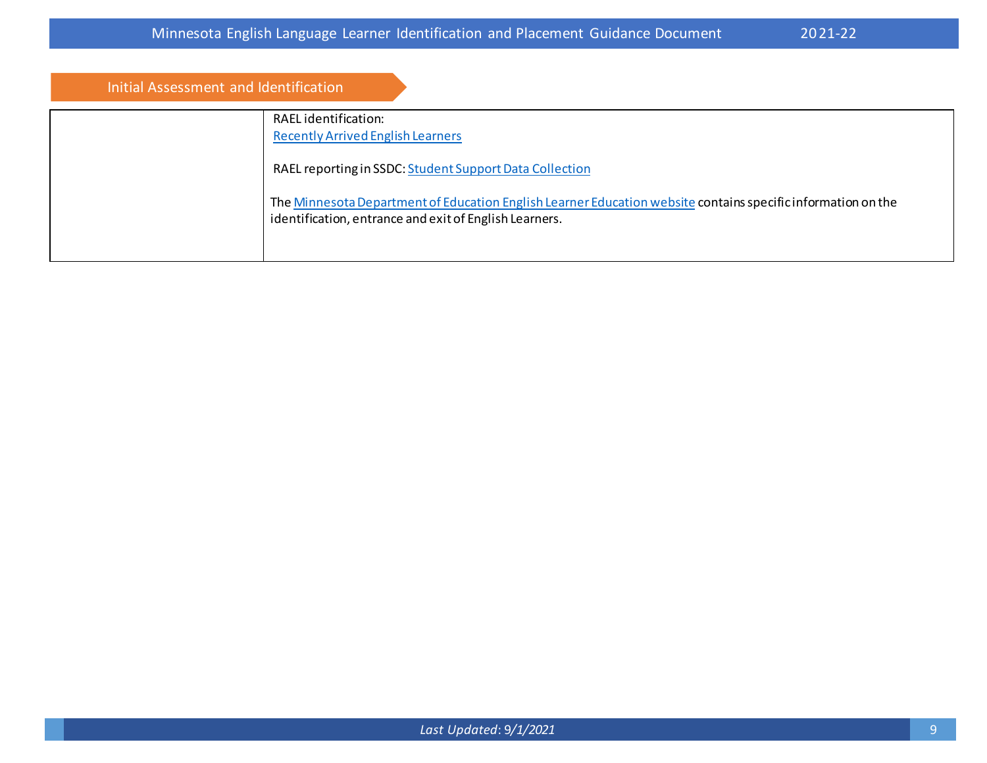| Initial Assessment and Identification |                                                                                                                                                                        |
|---------------------------------------|------------------------------------------------------------------------------------------------------------------------------------------------------------------------|
|                                       | RAEL identification:<br><b>Recently Arrived English Learners</b>                                                                                                       |
|                                       | RAEL reporting in SSDC: Student Support Data Collection                                                                                                                |
|                                       | The Minnesota Department of Education English Learner Education website contains specific information on the<br>identification, entrance and exit of English Learners. |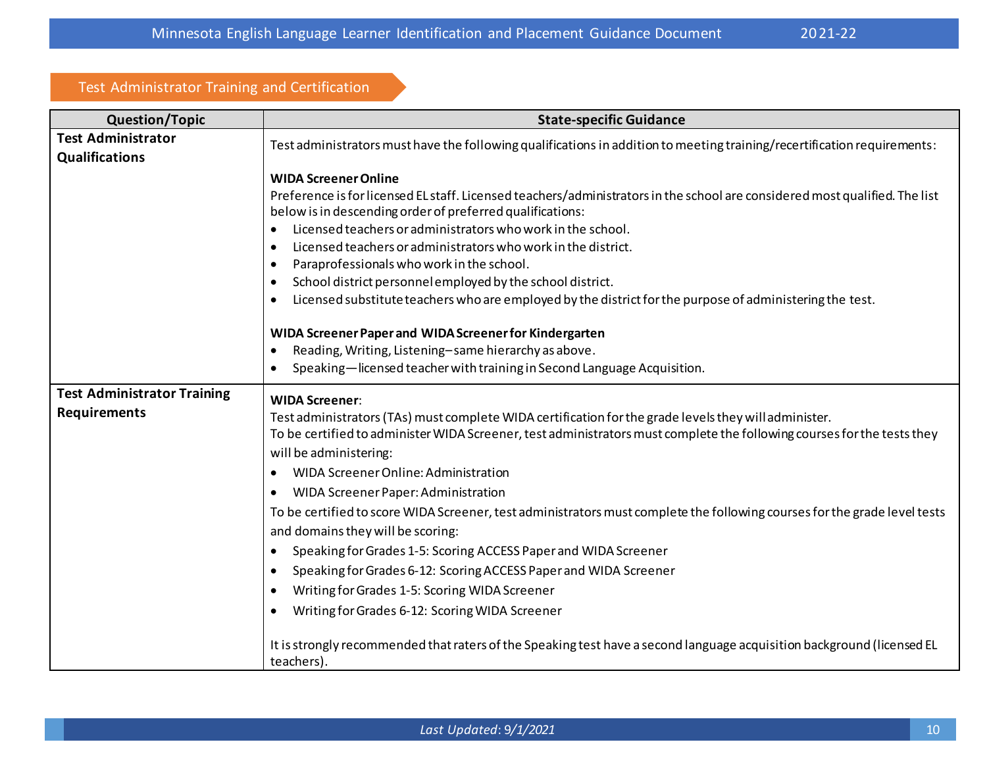## Test Administrator Training and Certification

| <b>Question/Topic</b>              | <b>State-specific Guidance</b>                                                                                                            |
|------------------------------------|-------------------------------------------------------------------------------------------------------------------------------------------|
| <b>Test Administrator</b>          | Test administrators must have the following qualifications in addition to meeting training/recertification requirements:                  |
| <b>Qualifications</b>              |                                                                                                                                           |
|                                    | <b>WIDA Screener Online</b>                                                                                                               |
|                                    | Preference is for licensed EL staff. Licensed teachers/administrators in the school are considered most qualified. The list               |
|                                    | below is in descending order of preferred qualifications:                                                                                 |
|                                    | Licensed teachers or administrators who work in the school.<br>$\bullet$<br>Licensed teachers or administrators who work in the district. |
|                                    | $\bullet$<br>Paraprofessionals who work in the school.<br>$\bullet$                                                                       |
|                                    | School district personnel employed by the school district.<br>$\bullet$                                                                   |
|                                    | Licensed substitute teachers who are employed by the district for the purpose of administering the test.<br>$\bullet$                     |
|                                    |                                                                                                                                           |
|                                    | WIDA Screener Paper and WIDA Screener for Kindergarten                                                                                    |
|                                    | Reading, Writing, Listening-same hierarchy as above.<br>$\bullet$                                                                         |
|                                    | Speaking-licensed teacher with training in Second Language Acquisition.<br>$\bullet$                                                      |
| <b>Test Administrator Training</b> | <b>WIDA Screener:</b>                                                                                                                     |
| <b>Requirements</b>                | Test administrators (TAs) must complete WIDA certification for the grade levels they will administer.                                     |
|                                    | To be certified to administer WIDA Screener, test administrators must complete the following courses for the tests they                   |
|                                    | will be administering:                                                                                                                    |
|                                    | WIDA Screener Online: Administration<br>$\bullet$                                                                                         |
|                                    | WIDA Screener Paper: Administration<br>$\bullet$                                                                                          |
|                                    | To be certified to score WIDA Screener, test administrators must complete the following courses for the grade level tests                 |
|                                    | and domains they will be scoring:                                                                                                         |
|                                    | Speaking for Grades 1-5: Scoring ACCESS Paper and WIDA Screener<br>$\bullet$                                                              |
|                                    | Speaking for Grades 6-12: Scoring ACCESS Paper and WIDA Screener<br>$\bullet$                                                             |
|                                    | Writing for Grades 1-5: Scoring WIDA Screener<br>$\bullet$                                                                                |
|                                    | Writing for Grades 6-12: Scoring WIDA Screener<br>$\bullet$                                                                               |
|                                    | It is strongly recommended that raters of the Speaking test have a second language acquisition background (licensed EL<br>teachers).      |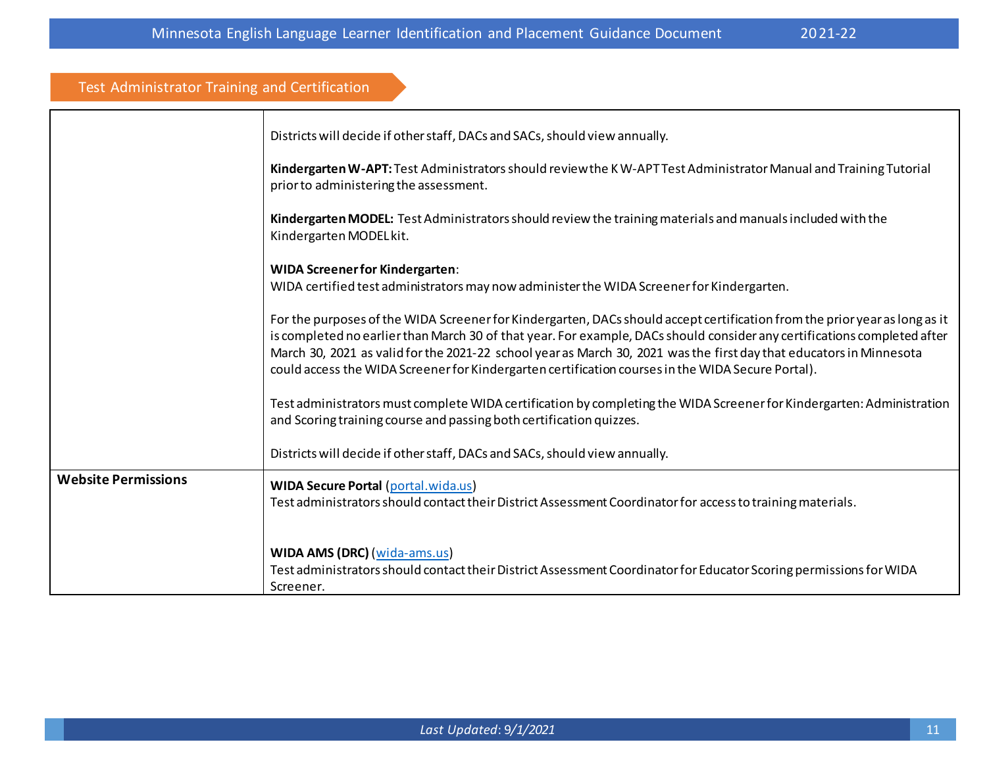| <b>Test Administrator Training and Certification</b> |                                                                                                                                                                                                                                                                                                                                                                                                                                                                                    |
|------------------------------------------------------|------------------------------------------------------------------------------------------------------------------------------------------------------------------------------------------------------------------------------------------------------------------------------------------------------------------------------------------------------------------------------------------------------------------------------------------------------------------------------------|
|                                                      | Districts will decide if other staff, DACs and SACs, should view annually.                                                                                                                                                                                                                                                                                                                                                                                                         |
|                                                      | Kindergarten W-APT: Test Administrators should review the KW-APT Test Administrator Manual and Training Tutorial<br>prior to administering the assessment.                                                                                                                                                                                                                                                                                                                         |
|                                                      | Kindergarten MODEL: Test Administrators should review the training materials and manuals included with the<br>Kindergarten MODEL kit.                                                                                                                                                                                                                                                                                                                                              |
|                                                      | <b>WIDA Screener for Kindergarten:</b><br>WIDA certified test administrators may now administer the WIDA Screener for Kindergarten.                                                                                                                                                                                                                                                                                                                                                |
|                                                      | For the purposes of the WIDA Screener for Kindergarten, DACs should accept certification from the prior year as long as it<br>is completed no earlier than March 30 of that year. For example, DACs should consider any certifications completed after<br>March 30, 2021 as valid for the 2021-22 school year as March 30, 2021 was the first day that educators in Minnesota<br>could access the WIDA Screener for Kindergarten certification courses in the WIDA Secure Portal). |
|                                                      | Test administrators must complete WIDA certification by completing the WIDA Screener for Kindergarten: Administration<br>and Scoring training course and passing both certification quizzes.                                                                                                                                                                                                                                                                                       |
|                                                      | Districts will decide if other staff, DACs and SACs, should view annually.                                                                                                                                                                                                                                                                                                                                                                                                         |
| <b>Website Permissions</b>                           | <b>WIDA Secure Portal (portal.wida.us)</b><br>Test administrators should contact their District Assessment Coordinator for access to training materials.                                                                                                                                                                                                                                                                                                                           |
|                                                      | WIDA AMS (DRC) (wida-ams.us)<br>Test administrators should contact their District Assessment Coordinator for Educator Scoring permissions for WIDA<br>Screener.                                                                                                                                                                                                                                                                                                                    |